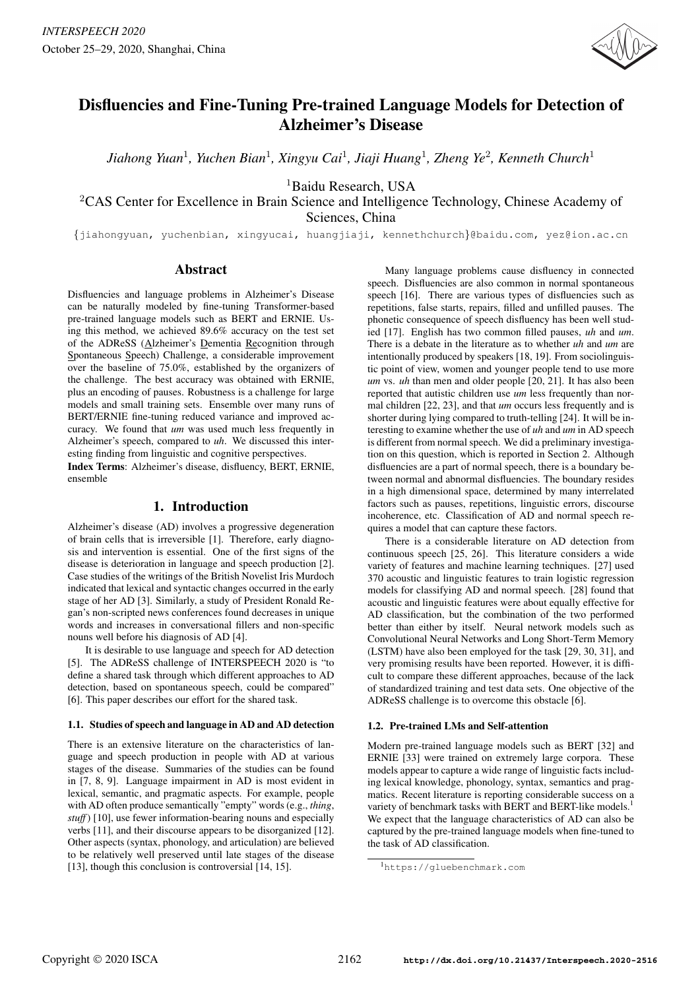

# Disfluencies and Fine-Tuning Pre-trained Language Models for Detection of Alzheimer's Disease

*Jiahong Yuan*<sup>1</sup> *, Yuchen Bian*<sup>1</sup> *, Xingyu Cai*<sup>1</sup> *, Jiaji Huang*<sup>1</sup> *, Zheng Ye*<sup>2</sup> *, Kenneth Church*<sup>1</sup>

<sup>1</sup>Baidu Research, USA

<sup>2</sup>CAS Center for Excellence in Brain Science and Intelligence Technology, Chinese Academy of Sciences, China

{jiahongyuan, yuchenbian, xingyucai, huangjiaji, kennethchurch}@baidu.com, yez@ion.ac.cn

# Abstract

Disfluencies and language problems in Alzheimer's Disease can be naturally modeled by fine-tuning Transformer-based pre-trained language models such as BERT and ERNIE. Using this method, we achieved 89.6% accuracy on the test set of the ADReSS (Alzheimer's Dementia Recognition through Spontaneous Speech) Challenge, a considerable improvement over the baseline of 75.0%, established by the organizers of the challenge. The best accuracy was obtained with ERNIE, plus an encoding of pauses. Robustness is a challenge for large models and small training sets. Ensemble over many runs of BERT/ERNIE fine-tuning reduced variance and improved accuracy. We found that *um* was used much less frequently in Alzheimer's speech, compared to *uh*. We discussed this interesting finding from linguistic and cognitive perspectives.

Index Terms: Alzheimer's disease, disfluency, BERT, ERNIE, ensemble

# 1. Introduction

Alzheimer's disease (AD) involves a progressive degeneration of brain cells that is irreversible [1]. Therefore, early diagnosis and intervention is essential. One of the first signs of the disease is deterioration in language and speech production [2]. Case studies of the writings of the British Novelist Iris Murdoch indicated that lexical and syntactic changes occurred in the early stage of her AD [3]. Similarly, a study of President Ronald Regan's non-scripted news conferences found decreases in unique words and increases in conversational fillers and non-specific nouns well before his diagnosis of AD [4].

It is desirable to use language and speech for AD detection [5]. The ADReSS challenge of INTERSPEECH 2020 is "to define a shared task through which different approaches to AD detection, based on spontaneous speech, could be compared" [6]. This paper describes our effort for the shared task.

#### 1.1. Studies of speech and language in AD and AD detection

There is an extensive literature on the characteristics of language and speech production in people with AD at various stages of the disease. Summaries of the studies can be found in [7, 8, 9]. Language impairment in AD is most evident in lexical, semantic, and pragmatic aspects. For example, people with AD often produce semantically "empty" words (e.g., *thing*, *stuff*) [10], use fewer information-bearing nouns and especially verbs [11], and their discourse appears to be disorganized [12]. Other aspects (syntax, phonology, and articulation) are believed to be relatively well preserved until late stages of the disease [13], though this conclusion is controversial [14, 15].

Many language problems cause disfluency in connected speech. Disfluencies are also common in normal spontaneous speech [16]. There are various types of disfluencies such as repetitions, false starts, repairs, filled and unfilled pauses. The phonetic consequence of speech disfluency has been well studied [17]. English has two common filled pauses, *uh* and *um*. There is a debate in the literature as to whether *uh* and *um* are intentionally produced by speakers [18, 19]. From sociolinguistic point of view, women and younger people tend to use more *um* vs. *uh* than men and older people [20, 21]. It has also been reported that autistic children use *um* less frequently than normal children [22, 23], and that *um* occurs less frequently and is shorter during lying compared to truth-telling [24]. It will be interesting to examine whether the use of *uh* and *um* in AD speech is different from normal speech. We did a preliminary investigation on this question, which is reported in Section 2. Although disfluencies are a part of normal speech, there is a boundary between normal and abnormal disfluencies. The boundary resides in a high dimensional space, determined by many interrelated factors such as pauses, repetitions, linguistic errors, discourse incoherence, etc. Classification of AD and normal speech requires a model that can capture these factors.

There is a considerable literature on AD detection from continuous speech [25, 26]. This literature considers a wide variety of features and machine learning techniques. [27] used 370 acoustic and linguistic features to train logistic regression models for classifying AD and normal speech. [28] found that acoustic and linguistic features were about equally effective for AD classification, but the combination of the two performed better than either by itself. Neural network models such as Convolutional Neural Networks and Long Short-Term Memory (LSTM) have also been employed for the task [29, 30, 31], and very promising results have been reported. However, it is difficult to compare these different approaches, because of the lack of standardized training and test data sets. One objective of the ADReSS challenge is to overcome this obstacle [6].

#### 1.2. Pre-trained LMs and Self-attention

Modern pre-trained language models such as BERT [32] and ERNIE [33] were trained on extremely large corpora. These models appear to capture a wide range of linguistic facts including lexical knowledge, phonology, syntax, semantics and pragmatics. Recent literature is reporting considerable success on a variety of benchmark tasks with BERT and BERT-like models.<sup>1</sup> We expect that the language characteristics of AD can also be captured by the pre-trained language models when fine-tuned to the task of AD classification.

<sup>1</sup>https://gluebenchmark.com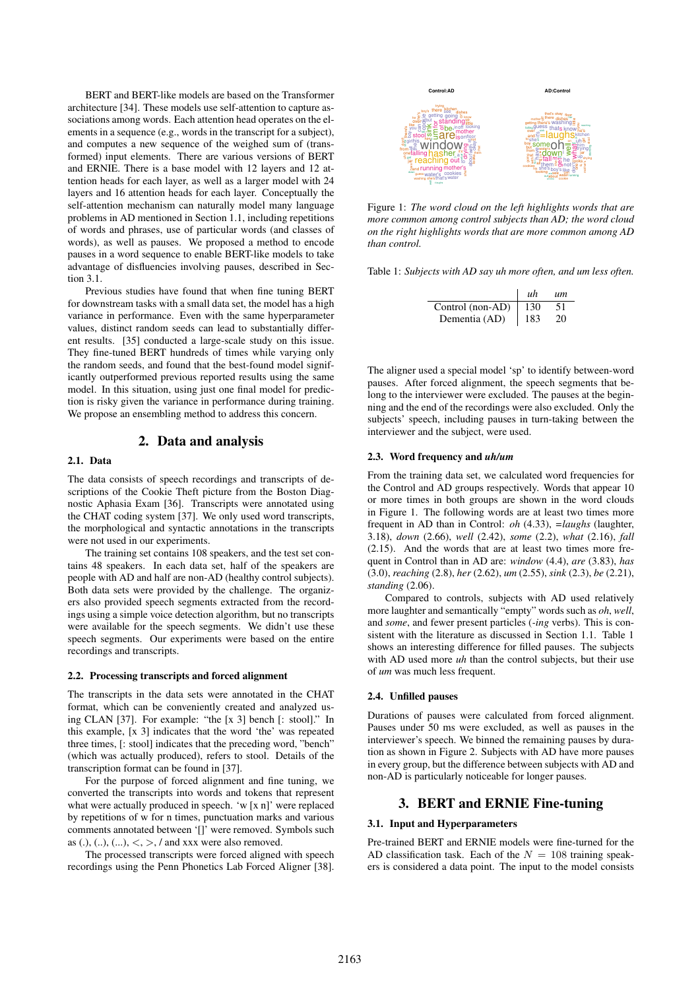BERT and BERT-like models are based on the Transformer architecture [34]. These models use self-attention to capture associations among words. Each attention head operates on the elements in a sequence (e.g., words in the transcript for a subject), and computes a new sequence of the weighed sum of (transformed) input elements. There are various versions of BERT and ERNIE. There is a base model with 12 layers and 12 attention heads for each layer, as well as a larger model with 24 layers and 16 attention heads for each layer. Conceptually the self-attention mechanism can naturally model many language problems in AD mentioned in Section 1.1, including repetitions of words and phrases, use of particular words (and classes of words), as well as pauses. We proposed a method to encode pauses in a word sequence to enable BERT-like models to take advantage of disfluencies involving pauses, described in Section 3.1.

Previous studies have found that when fine tuning BERT for downstream tasks with a small data set, the model has a high variance in performance. Even with the same hyperparameter values, distinct random seeds can lead to substantially different results. [35] conducted a large-scale study on this issue. They fine-tuned BERT hundreds of times while varying only the random seeds, and found that the best-found model significantly outperformed previous reported results using the same model. In this situation, using just one final model for prediction is risky given the variance in performance during training. We propose an ensembling method to address this concern.

# 2. Data and analysis

# 2.1. Data

The data consists of speech recordings and transcripts of descriptions of the Cookie Theft picture from the Boston Diagnostic Aphasia Exam [36]. Transcripts were annotated using the CHAT coding system [37]. We only used word transcripts, the morphological and syntactic annotations in the transcripts were not used in our experiments.

The training set contains 108 speakers, and the test set contains 48 speakers. In each data set, half of the speakers are people with AD and half are non-AD (healthy control subjects). Both data sets were provided by the challenge. The organizers also provided speech segments extracted from the recordings using a simple voice detection algorithm, but no transcripts were available for the speech segments. We didn't use these speech segments. Our experiments were based on the entire recordings and transcripts.

#### 2.2. Processing transcripts and forced alignment

The transcripts in the data sets were annotated in the CHAT format, which can be conveniently created and analyzed using CLAN [37]. For example: "the [x 3] bench [: stool]." In this example, [x 3] indicates that the word 'the' was repeated three times, [: stool] indicates that the preceding word, "bench" (which was actually produced), refers to stool. Details of the transcription format can be found in [37].

For the purpose of forced alignment and fine tuning, we converted the transcripts into words and tokens that represent what were actually produced in speech. 'w [x n]' were replaced by repetitions of w for n times, punctuation marks and various comments annotated between '[]' were removed. Symbols such as (.), (..), (...),  $\langle \rangle$ ,  $\rangle$ ,  $\rangle$  and xxx were also removed.

The processed transcripts were forced aligned with speech recordings using the Penn Phonetics Lab Forced Aligner [38].



Figure 1: *The word cloud on the left highlights words that are more common among control subjects than AD; the word cloud on the right highlights words that are more common among AD than control.*

Table 1: *Subjects with AD say uh more often, and um less often.*

|                  | иh  | иm |
|------------------|-----|----|
| Control (non-AD) | 130 | 51 |
| Dementia (AD)    | 183 | 20 |

The aligner used a special model 'sp' to identify between-word pauses. After forced alignment, the speech segments that belong to the interviewer were excluded. The pauses at the beginning and the end of the recordings were also excluded. Only the subjects' speech, including pauses in turn-taking between the interviewer and the subject, were used.

#### 2.3. Word frequency and *uh/um*

From the training data set, we calculated word frequencies for the Control and AD groups respectively. Words that appear 10 or more times in both groups are shown in the word clouds in Figure 1. The following words are at least two times more frequent in AD than in Control: *oh* (4.33), *=laughs* (laughter, 3.18), *down* (2.66), *well* (2.42), *some* (2.2), *what* (2.16), *fall* (2.15). And the words that are at least two times more frequent in Control than in AD are: *window* (4.4), *are* (3.83), *has* (3.0), *reaching* (2.8), *her* (2.62), *um* (2.55), *sink* (2.3), *be* (2.21), *standing* (2.06).

Compared to controls, subjects with AD used relatively more laughter and semantically "empty" words such as *oh*, *well*, and *some*, and fewer present particles (*-ing* verbs). This is consistent with the literature as discussed in Section 1.1. Table 1 shows an interesting difference for filled pauses. The subjects with AD used more *uh* than the control subjects, but their use of *um* was much less frequent.

#### 2.4. Unfilled pauses

Durations of pauses were calculated from forced alignment. Pauses under 50 ms were excluded, as well as pauses in the interviewer's speech. We binned the remaining pauses by duration as shown in Figure 2. Subjects with AD have more pauses in every group, but the difference between subjects with AD and non-AD is particularly noticeable for longer pauses.

# 3. BERT and ERNIE Fine-tuning

## 3.1. Input and Hyperparameters

Pre-trained BERT and ERNIE models were fine-turned for the AD classification task. Each of the  $N = 108$  training speakers is considered a data point. The input to the model consists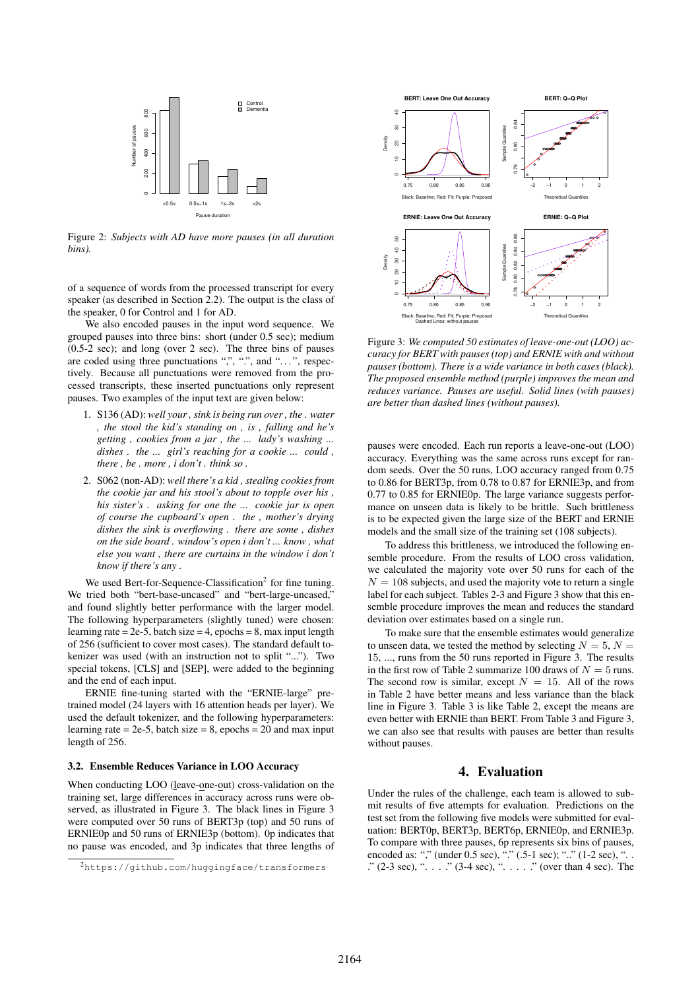

Figure 2: *Subjects with AD have more pauses (in all duration bins).*

of a sequence of words from the processed transcript for every speaker (as described in Section 2.2). The output is the class of the speaker, 0 for Control and 1 for AD.

We also encoded pauses in the input word sequence. We grouped pauses into three bins: short (under 0.5 sec); medium (0.5-2 sec); and long (over 2 sec). The three bins of pauses are coded using three punctuations ",", ".", and "...", respectively. Because all punctuations were removed from the processed transcripts, these inserted punctuations only represent pauses. Two examples of the input text are given below:

- 1. S136 (AD): *well your , sink is being run over , the . water , the stool the kid's standing on , is , falling and he's getting , cookies from a jar , the ... lady's washing ... dishes . the ... girl's reaching for a cookie ... could , there , be . more , i don't . think so .*
- 2. S062 (non-AD): *well there's a kid , stealing cookies from the cookie jar and his stool's about to topple over his , his sister's . asking for one the ... cookie jar is open of course the cupboard's open . the , mother's drying dishes the sink is overflowing . there are some , dishes on the side board . window's open i don't ... know , what else you want , there are curtains in the window i don't know if there's any .*

We used Bert-for-Sequence-Classification<sup>2</sup> for fine tuning. We tried both "bert-base-uncased" and "bert-large-uncased," and found slightly better performance with the larger model. The following hyperparameters (slightly tuned) were chosen: learning rate =  $2e-5$ , batch size =  $4$ , epochs =  $8$ , max input length of 256 (sufficient to cover most cases). The standard default tokenizer was used (with an instruction not to split "..."). Two special tokens, [CLS] and [SEP], were added to the beginning and the end of each input.

ERNIE fine-tuning started with the "ERNIE-large" pretrained model (24 layers with 16 attention heads per layer). We used the default tokenizer, and the following hyperparameters: learning rate  $= 2e-5$ , batch size  $= 8$ , epochs  $= 20$  and max input length of 256.

#### 3.2. Ensemble Reduces Variance in LOO Accuracy

When conducting LOO (leave-one-out) cross-validation on the training set, large differences in accuracy across runs were observed, as illustrated in Figure 3. The black lines in Figure 3 were computed over 50 runs of BERT3p (top) and 50 runs of ERNIE0p and 50 runs of ERNIE3p (bottom). 0p indicates that no pause was encoded, and 3p indicates that three lengths of



Figure 3: *We computed 50 estimates of leave-one-out (LOO) accuracy for BERT with pauses (top) and ERNIE with and without pauses (bottom). There is a wide variance in both cases (black). The proposed ensemble method (purple) improves the mean and reduces variance. Pauses are useful. Solid lines (with pauses) are better than dashed lines (without pauses).*

pauses were encoded. Each run reports a leave-one-out (LOO) accuracy. Everything was the same across runs except for random seeds. Over the 50 runs, LOO accuracy ranged from 0.75 to 0.86 for BERT3p, from 0.78 to 0.87 for ERNIE3p, and from 0.77 to 0.85 for ERNIE0p. The large variance suggests performance on unseen data is likely to be brittle. Such brittleness is to be expected given the large size of the BERT and ERNIE models and the small size of the training set (108 subjects).

To address this brittleness, we introduced the following ensemble procedure. From the results of LOO cross validation, we calculated the majority vote over 50 runs for each of the  $N = 108$  subjects, and used the majority vote to return a single label for each subject. Tables 2-3 and Figure 3 show that this ensemble procedure improves the mean and reduces the standard deviation over estimates based on a single run.

To make sure that the ensemble estimates would generalize to unseen data, we tested the method by selecting  $N = 5$ ,  $N =$ 15, ..., runs from the 50 runs reported in Figure 3. The results in the first row of Table 2 summarize 100 draws of  $N = 5$  runs. The second row is similar, except  $N = 15$ . All of the rows in Table 2 have better means and less variance than the black line in Figure 3. Table 3 is like Table 2, except the means are even better with ERNIE than BERT. From Table 3 and Figure 3, we can also see that results with pauses are better than results without pauses.

# 4. Evaluation

Under the rules of the challenge, each team is allowed to submit results of five attempts for evaluation. Predictions on the test set from the following five models were submitted for evaluation: BERT0p, BERT3p, BERT6p, ERNIE0p, and ERNIE3p. To compare with three pauses, 6p represents six bins of pauses, encoded as: "," (under 0.5 sec), "." (.5-1 sec); ".." (1-2 sec), "... ."  $(2-3 \text{ sec})$ , ". . . ."  $(3-4 \text{ sec})$ , ". . . . ." (over than 4 sec). The

<sup>2</sup>https://github.com/huggingface/transformers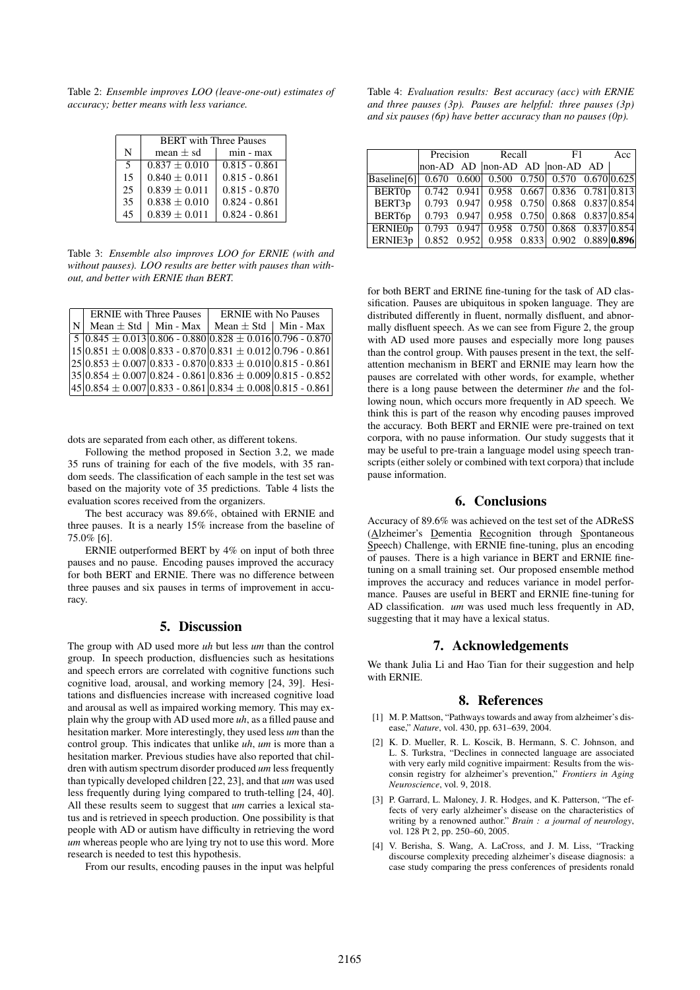Table 2: *Ensemble improves LOO (leave-one-out) estimates of accuracy; better means with less variance.*

|    | <b>BERT</b> with Three Pauses |                 |  |  |
|----|-------------------------------|-----------------|--|--|
| N  | mean $\pm$ sd                 | min - max       |  |  |
| 5  | $0.837 + 0.010$               | $0.815 - 0.861$ |  |  |
| 15 | $0.840 + 0.011$               | $0.815 - 0.861$ |  |  |
| 25 | $0.839 \pm 0.011$             | $0.815 - 0.870$ |  |  |
| 35 | $0.838 + 0.010$               | $0.824 - 0.861$ |  |  |
| 45 | $0.839 \pm 0.011$             | $0.824 - 0.861$ |  |  |

Table 3: *Ensemble also improves LOO for ERNIE (with and without pauses). LOO results are better with pauses than without, and better with ERNIE than BERT.*

|     | <b>ERNIE</b> with Three Pauses | <b>ERNIE</b> with No Pauses                                              |  |  |  |
|-----|--------------------------------|--------------------------------------------------------------------------|--|--|--|
| IN. | Mean $\pm$ Std   Min - Max     | Mean $\pm$ Std   Min - Max                                               |  |  |  |
|     |                                | $5  0.845 \pm 0.013  0.806 - 0.880  0.828 \pm 0.016  0.796 - 0.870 $     |  |  |  |
|     |                                | $(15 0.851 \pm 0.008 0.833 - 0.870 0.831 \pm 0.012 0.796 - 0.861)$       |  |  |  |
|     |                                | $ 25 0.853 \pm 0.007 0.833 - 0.870 0.833 \pm 0.010 0.815 - 0.861 $       |  |  |  |
|     |                                | $ 35 0.854 \pm 0.007 0.824$ - $0.861 0.836 \pm 0.009 0.815$ - $0.852 $   |  |  |  |
|     |                                | $ 45 0.854 \pm 0.007 0.833$ - 0.861 $ 0.834 \pm 0.008 0.815$ - 0.861 $ $ |  |  |  |

dots are separated from each other, as different tokens.

Following the method proposed in Section 3.2, we made 35 runs of training for each of the five models, with 35 random seeds. The classification of each sample in the test set was based on the majority vote of 35 predictions. Table 4 lists the evaluation scores received from the organizers.

The best accuracy was 89.6%, obtained with ERNIE and three pauses. It is a nearly 15% increase from the baseline of 75.0% [6].

ERNIE outperformed BERT by 4% on input of both three pauses and no pause. Encoding pauses improved the accuracy for both BERT and ERNIE. There was no difference between three pauses and six pauses in terms of improvement in accuracy.

#### 5. Discussion

The group with AD used more *uh* but less *um* than the control group. In speech production, disfluencies such as hesitations and speech errors are correlated with cognitive functions such cognitive load, arousal, and working memory [24, 39]. Hesitations and disfluencies increase with increased cognitive load and arousal as well as impaired working memory. This may explain why the group with AD used more *uh*, as a filled pause and hesitation marker. More interestingly, they used less *um* than the control group. This indicates that unlike *uh*, *um* is more than a hesitation marker. Previous studies have also reported that children with autism spectrum disorder produced *um* less frequently than typically developed children [22, 23], and that *um* was used less frequently during lying compared to truth-telling [24, 40]. All these results seem to suggest that *um* carries a lexical status and is retrieved in speech production. One possibility is that people with AD or autism have difficulty in retrieving the word *um* whereas people who are lying try not to use this word. More research is needed to test this hypothesis.

From our results, encoding pauses in the input was helpful

Table 4: *Evaluation results: Best accuracy (acc) with ERNIE and three pauses (3p). Pauses are helpful: three pauses (3p) and six pauses (6p) have better accuracy than no pauses (0p).*

|                |  |  | Precision Recall F1                                       |  |  |  | Acc |
|----------------|--|--|-----------------------------------------------------------|--|--|--|-----|
|                |  |  | non-AD AD $ $ non-AD AD $ $ non-AD AD                     |  |  |  |     |
| Baseline[6]    |  |  | $0.670$ $0.600$ $0.500$ $0.750$ $0.570$ $0.670$ $0.625$   |  |  |  |     |
| <b>BERT0p</b>  |  |  | $0.742$ 0.941 0.958 0.667 0.836 0.781 0.813               |  |  |  |     |
| BERT3p         |  |  | $0.793$ $0.947$ $0.958$ $0.750$ $0.868$ $0.837$ $ 0.854 $ |  |  |  |     |
| BERT6p         |  |  | $0.793$ $0.947$ $0.958$ $0.750$ $0.868$ $0.837$ $ 0.854 $ |  |  |  |     |
| <b>ERNIEOp</b> |  |  | $0.793$ 0.947 0.958 0.750 0.868 0.837 0.854               |  |  |  |     |
| ERNIE3p        |  |  | $0.852$ $0.952$ $0.958$ $0.833$ $0.902$ $0.889$ $0.896$   |  |  |  |     |

for both BERT and ERINE fine-tuning for the task of AD classification. Pauses are ubiquitous in spoken language. They are distributed differently in fluent, normally disfluent, and abnormally disfluent speech. As we can see from Figure 2, the group with AD used more pauses and especially more long pauses than the control group. With pauses present in the text, the selfattention mechanism in BERT and ERNIE may learn how the pauses are correlated with other words, for example, whether there is a long pause between the determiner *the* and the following noun, which occurs more frequently in AD speech. We think this is part of the reason why encoding pauses improved the accuracy. Both BERT and ERNIE were pre-trained on text corpora, with no pause information. Our study suggests that it may be useful to pre-train a language model using speech transcripts (either solely or combined with text corpora) that include pause information.

# 6. Conclusions

Accuracy of 89.6% was achieved on the test set of the ADReSS (Alzheimer's Dementia Recognition through Spontaneous Speech) Challenge, with ERNIE fine-tuning, plus an encoding of pauses. There is a high variance in BERT and ERNIE finetuning on a small training set. Our proposed ensemble method improves the accuracy and reduces variance in model performance. Pauses are useful in BERT and ERNIE fine-tuning for AD classification. *um* was used much less frequently in AD, suggesting that it may have a lexical status.

## 7. Acknowledgements

We thank Julia Li and Hao Tian for their suggestion and help with ERNIE.

# 8. References

- [1] M. P. Mattson, "Pathways towards and away from alzheimer's disease," *Nature*, vol. 430, pp. 631–639, 2004.
- [2] K. D. Mueller, R. L. Koscik, B. Hermann, S. C. Johnson, and L. S. Turkstra, "Declines in connected language are associated with very early mild cognitive impairment: Results from the wisconsin registry for alzheimer's prevention," *Frontiers in Aging Neuroscience*, vol. 9, 2018.
- [3] P. Garrard, L. Maloney, J. R. Hodges, and K. Patterson, "The effects of very early alzheimer's disease on the characteristics of writing by a renowned author." *Brain : a journal of neurology*, vol. 128 Pt 2, pp. 250–60, 2005.
- [4] V. Berisha, S. Wang, A. LaCross, and J. M. Liss, "Tracking discourse complexity preceding alzheimer's disease diagnosis: a case study comparing the press conferences of presidents ronald